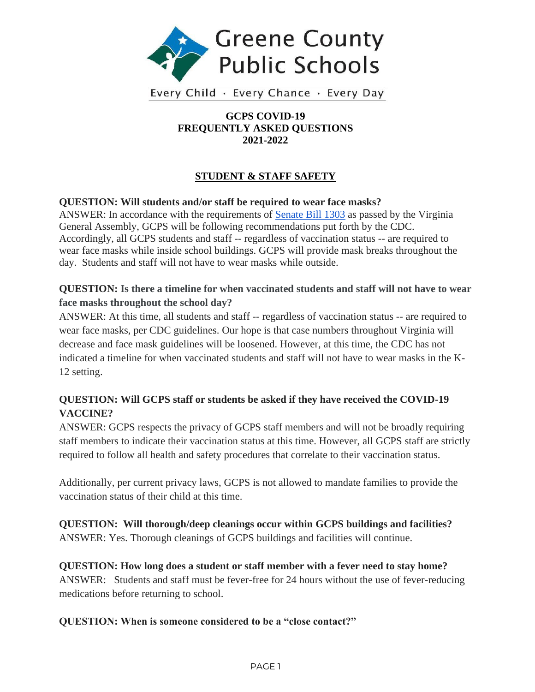

Every Child · Every Chance · Every Day

#### **GCPS COVID-19 FREQUENTLY ASKED QUESTIONS 2021-2022**

# **STUDENT & STAFF SAFETY**

### **QUESTION: Will students and/or staff be required to wear face masks?**

ANSWER: In accordance with the requirements of [Senate Bill 1303](https://lis.virginia.gov/cgi-bin/legp604.exe?212+ful+CHAP0456) as passed by the Virginia General Assembly, GCPS will be following recommendations put forth by the CDC. Accordingly, all GCPS students and staff -- regardless of vaccination status -- are required to wear face masks while inside school buildings. GCPS will provide mask breaks throughout the day. Students and staff will not have to wear masks while outside.

## **QUESTION: Is there a timeline for when vaccinated students and staff will not have to wear face masks throughout the school day?**

ANSWER: At this time, all students and staff -- regardless of vaccination status -- are required to wear face masks, per CDC guidelines. Our hope is that case numbers throughout Virginia will decrease and face mask guidelines will be loosened. However, at this time, the CDC has not indicated a timeline for when vaccinated students and staff will not have to wear masks in the K-12 setting.

# **QUESTION: Will GCPS staff or students be asked if they have received the COVID-19 VACCINE?**

ANSWER: GCPS respects the privacy of GCPS staff members and will not be broadly requiring staff members to indicate their vaccination status at this time. However, all GCPS staff are strictly required to follow all health and safety procedures that correlate to their vaccination status.

Additionally, per current privacy laws, GCPS is not allowed to mandate families to provide the vaccination status of their child at this time.

**QUESTION: Will thorough/deep cleanings occur within GCPS buildings and facilities?**  ANSWER: Yes. Thorough cleanings of GCPS buildings and facilities will continue.

**QUESTION: How long does a student or staff member with a fever need to stay home?** ANSWER: Students and staff must be fever-free for 24 hours without the use of fever-reducing medications before returning to school.

## **QUESTION: When is someone considered to be a "close contact?"**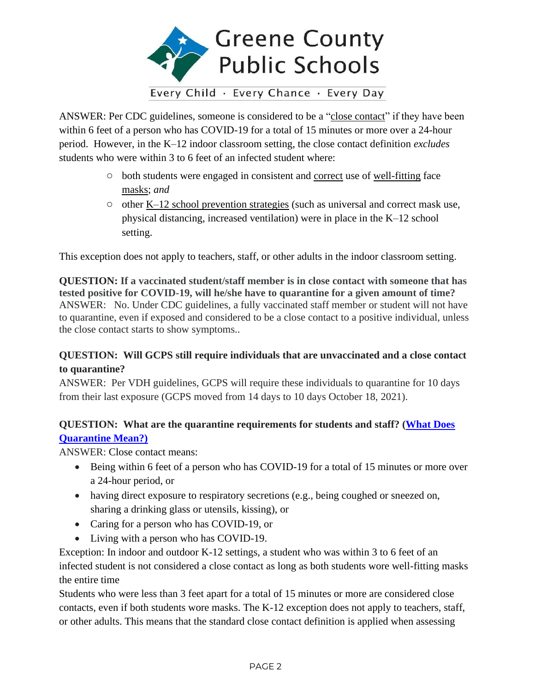

ANSWER: Per CDC guidelines, someone is considered to be a ["close contact"](https://www.cdc.gov/coronavirus/2019-ncov/php/contact-tracing/contact-tracing-plan/appendix.html#contact) if they have been within 6 feet of a person who has COVID-19 for a total of 15 minutes or more over a 24-hour period. However, in the K–12 indoor classroom setting, the close contact definition *excludes* students who were within 3 to 6 feet of an infected student where:

- both students were engaged in consistent and [correct](https://www.cdc.gov/coronavirus/2019-ncov/your-health/effective-masks.html) use of [well-fitting](https://www.cdc.gov/coronavirus/2019-ncov/prevent-getting-sick/mask-fit-and-filtration.html) face [masks;](https://www.cdc.gov/coronavirus/2019-ncov/community/schools-childcare/cloth-face-cover.html) *and*
- $\circ$  other [K–12 school prevention strategies](https://www.cdc.gov/coronavirus/2019-ncov/community/schools-childcare/operation-strategy.html) (such as universal and correct mask use, physical distancing, increased ventilation) were in place in the K–12 school setting.

This exception does not apply to teachers, staff, or other adults in the indoor classroom setting.

**QUESTION: If a vaccinated student/staff member is in close contact with someone that has tested positive for COVID-19, will he/she have to quarantine for a given amount of time?**  ANSWER: No. Under CDC guidelines, a fully vaccinated staff member or student will not have to quarantine, even if exposed and considered to be a close contact to a positive individual, unless the close contact starts to show symptoms..

## **QUESTION: Will GCPS still require individuals that are unvaccinated and a close contact to quarantine?**

ANSWER: Per VDH guidelines, GCPS will require these individuals to quarantine for 10 days from their last exposure (GCPS moved from 14 days to 10 days October 18, 2021).

# **QUESTION: What are the quarantine requirements for students and staff? [\(What Does](https://drive.google.com/file/d/1Tj8-5M2JEVfmBS0cCH62bG-x2fF3h3Ty/view?usp=sharing)  [Quarantine Mean?\)](https://drive.google.com/file/d/1Tj8-5M2JEVfmBS0cCH62bG-x2fF3h3Ty/view?usp=sharing)**

ANSWER: Close contact means:

- Being within 6 feet of a person who has COVID-19 for a total of 15 minutes or more over a 24-hour period, or
- having direct exposure to respiratory secretions (e.g., being coughed or sneezed on, sharing a drinking glass or utensils, kissing), or
- Caring for a person who has COVID-19, or
- Living with a person who has COVID-19.

Exception: In indoor and outdoor K-12 settings, a student who was within 3 to 6 feet of an infected student is not considered a close contact as long as both students wore well-fitting masks the entire time

Students who were less than 3 feet apart for a total of 15 minutes or more are considered close contacts, even if both students wore masks. The K-12 exception does not apply to teachers, staff, or other adults. This means that the standard close contact definition is applied when assessing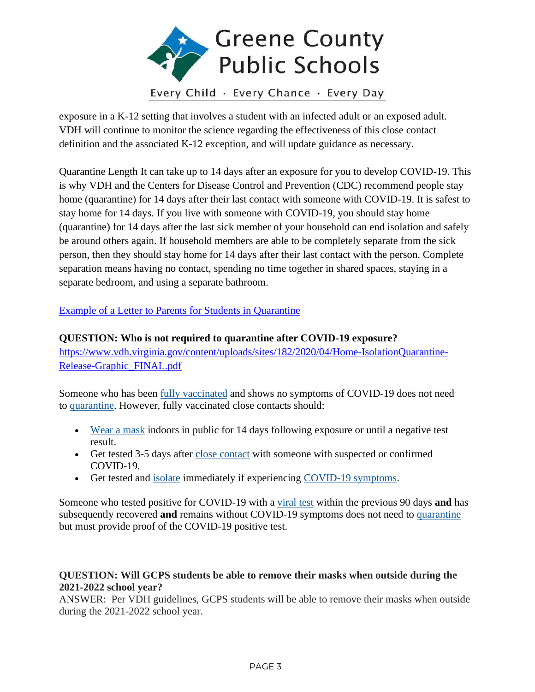

exposure in a K-12 setting that involves a student with an infected adult or an exposed adult. VDH will continue to monitor the science regarding the effectiveness of this close contact definition and the associated K-12 exception, and will update guidance as necessary.

Quarantine Length It can take up to 14 days after an exposure for you to develop COVID-19. This is why VDH and the Centers for Disease Control and Prevention (CDC) recommend people stay home (quarantine) for 14 days after their last contact with someone with COVID-19. It is safest to stay home for 14 days. If you live with someone with COVID-19, you should stay home (quarantine) for 14 days after the last sick member of your household can end isolation and safely be around others again. If household members are able to be completely separate from the sick person, then they should stay home for 14 days after their last contact with the person. Complete separation means having no contact, spending no time together in shared spaces, staying in a separate bedroom, and using a separate bathroom.

[Example of a Letter to Parents for Students in Quarantine](https://docs.google.com/document/d/1BDznbqFaEGSUyq-zUK4KvbFMABR9Rjz-/edit?usp=sharing&ouid=108668237546572574784&rtpof=true&sd=true)

#### **QUESTION: Who is not required to quarantine after COVID-19 exposure?**

[https://www.vdh.virginia.gov/content/uploads/sites/182/2020/04/Home-IsolationQuarantine-](https://www.vdh.virginia.gov/content/uploads/sites/182/2020/04/Home-IsolationQuarantine-Release-Graphic_FINAL.pdf)[Release-Graphic\\_FINAL.pdf](https://www.vdh.virginia.gov/content/uploads/sites/182/2020/04/Home-IsolationQuarantine-Release-Graphic_FINAL.pdf)

Someone who has been [fully vaccinated](https://www.cdc.gov/coronavirus/2019-ncov/vaccines/fully-vaccinated.html) and shows no symptoms of COVID-19 does not need to [quarantine.](https://www.cdc.gov/coronavirus/2019-ncov/your-health/quarantine-isolation.html) However, fully vaccinated close contacts should:

- [Wear a mask](https://www.cdc.gov/coronavirus/2019-ncov/prevent-getting-sick/diy-cloth-face-coverings.html) indoors in public for 14 days following exposure or until a negative test result.
- Get tested 3-5 days after [close contact](https://www.cdc.gov/coronavirus/2019-ncov/php/contact-tracing/contact-tracing-plan/appendix.html#contact) with someone with suspected or confirmed COVID-19.
- Get tested and [isolate](https://www.cdc.gov/coronavirus/2019-ncov/your-health/quarantine-isolation.html) immediately if experiencing [COVID-19 symptoms.](https://www.cdc.gov/coronavirus/2019-ncov/symptoms-testing/symptoms.html)

Someone who tested positive for COVID-19 with a [viral test](https://www.cdc.gov/coronavirus/2019-ncov/testing/diagnostic-testing.html) within the previous 90 days **and** has subsequently recovered **and** remains without COVID-19 symptoms does not need to [quarantine](https://www.cdc.gov/coronavirus/2019-ncov/your-health/quarantine-isolation.html) but must provide proof of the COVID-19 positive test.

### **QUESTION: Will GCPS students be able to remove their masks when outside during the 2021-2022 school year?**

ANSWER: Per VDH guidelines, GCPS students will be able to remove their masks when outside during the 2021-2022 school year.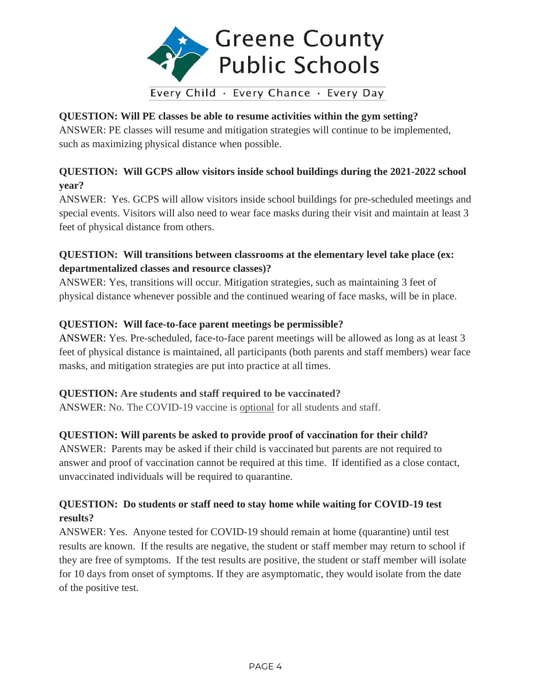

## **QUESTION: Will PE classes be able to resume activities within the gym setting?**

ANSWER: PE classes will resume and mitigation strategies will continue to be implemented, such as maximizing physical distance when possible.

# **QUESTION: Will GCPS allow visitors inside school buildings during the 2021-2022 school year?**

ANSWER: Yes. GCPS will allow visitors inside school buildings for pre-scheduled meetings and special events. Visitors will also need to wear face masks during their visit and maintain at least 3 feet of physical distance from others.

## **QUESTION: Will transitions between classrooms at the elementary level take place (ex: departmentalized classes and resource classes)?**

ANSWER: Yes, transitions will occur. Mitigation strategies, such as maintaining 3 feet of physical distance whenever possible and the continued wearing of face masks, will be in place.

## **QUESTION: Will face-to-face parent meetings be permissible?**

ANSWER: Yes. Pre-scheduled, face-to-face parent meetings will be allowed as long as at least 3 feet of physical distance is maintained, all participants (both parents and staff members) wear face masks, and mitigation strategies are put into practice at all times.

## **QUESTION: Are students and staff required to be vaccinated?**

ANSWER: No. The COVID-19 vaccine is optional for all students and staff.

### **QUESTION: Will parents be asked to provide proof of vaccination for their child?**

ANSWER: Parents may be asked if their child is vaccinated but parents are not required to answer and proof of vaccination cannot be required at this time. If identified as a close contact, unvaccinated individuals will be required to quarantine.

# **QUESTION: Do students or staff need to stay home while waiting for COVID-19 test results?**

ANSWER: Yes. Anyone tested for COVID-19 should remain at home (quarantine) until test results are known. If the results are negative, the student or staff member may return to school if they are free of symptoms. If the test results are positive, the student or staff member will isolate for 10 days from onset of symptoms. If they are asymptomatic, they would isolate from the date of the positive test.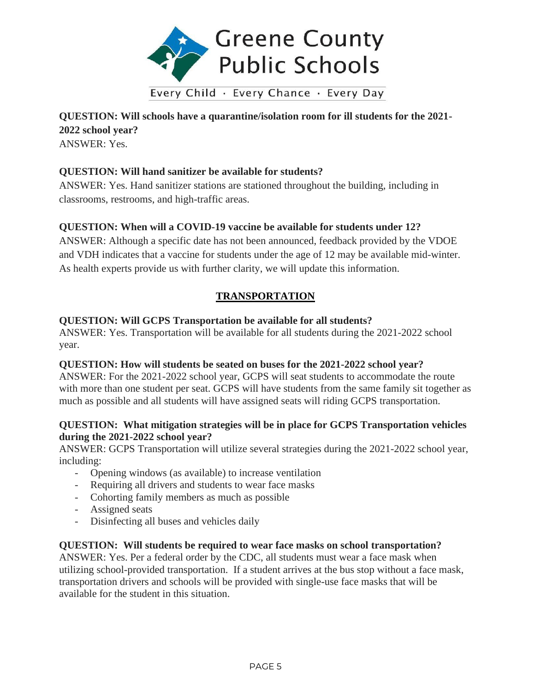

**QUESTION: Will schools have a quarantine/isolation room for ill students for the 2021- 2022 school year?** ANSWER: Yes.

### **QUESTION: Will hand sanitizer be available for students?**

ANSWER: Yes. Hand sanitizer stations are stationed throughout the building, including in classrooms, restrooms, and high-traffic areas.

### **QUESTION: When will a COVID-19 vaccine be available for students under 12?**

ANSWER: Although a specific date has not been announced, feedback provided by the VDOE and VDH indicates that a vaccine for students under the age of 12 may be available mid-winter. As health experts provide us with further clarity, we will update this information.

# **TRANSPORTATION**

### **QUESTION: Will GCPS Transportation be available for all students?**

ANSWER: Yes. Transportation will be available for all students during the 2021-2022 school year.

### **QUESTION: How will students be seated on buses for the 2021-2022 school year?**

ANSWER: For the 2021-2022 school year, GCPS will seat students to accommodate the route with more than one student per seat. GCPS will have students from the same family sit together as much as possible and all students will have assigned seats will riding GCPS transportation.

#### **QUESTION: What mitigation strategies will be in place for GCPS Transportation vehicles during the 2021-2022 school year?**

ANSWER: GCPS Transportation will utilize several strategies during the 2021-2022 school year, including:

- Opening windows (as available) to increase ventilation
- Requiring all drivers and students to wear face masks
- Cohorting family members as much as possible
- Assigned seats
- Disinfecting all buses and vehicles daily

### **QUESTION: Will students be required to wear face masks on school transportation?**

ANSWER: Yes. Per a federal order by the CDC, all students must wear a face mask when utilizing school-provided transportation. If a student arrives at the bus stop without a face mask, transportation drivers and schools will be provided with single-use face masks that will be available for the student in this situation.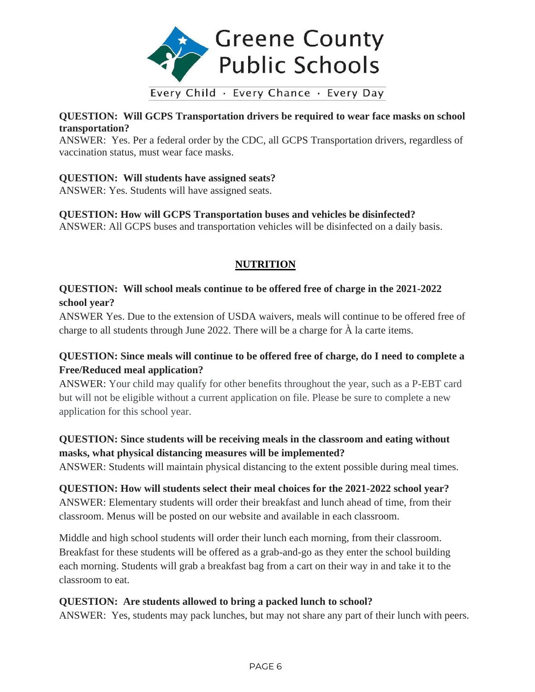

# Every Child · Every Chance · Every Day

### **QUESTION: Will GCPS Transportation drivers be required to wear face masks on school transportation?**

ANSWER: Yes. Per a federal order by the CDC, all GCPS Transportation drivers, regardless of vaccination status, must wear face masks.

### **QUESTION: Will students have assigned seats?**

ANSWER: Yes. Students will have assigned seats.

## **QUESTION: How will GCPS Transportation buses and vehicles be disinfected?**

ANSWER: All GCPS buses and transportation vehicles will be disinfected on a daily basis.

## **NUTRITION**

# **QUESTION: Will school meals continue to be offered free of charge in the 2021-2022 school year?**

ANSWER Yes. Due to the extension of USDA waivers, meals will continue to be offered free of charge to all students through June 2022. There will be a charge for À la carte items.

## **QUESTION: Since meals will continue to be offered free of charge, do I need to complete a Free/Reduced meal application?**

ANSWER: Your child may qualify for other benefits throughout the year, such as a P-EBT card but will not be eligible without a current application on file. Please be sure to complete a new application for this school year.

# **QUESTION: Since students will be receiving meals in the classroom and eating without masks, what physical distancing measures will be implemented?**

ANSWER: Students will maintain physical distancing to the extent possible during meal times.

**QUESTION: How will students select their meal choices for the 2021-2022 school year?** ANSWER: Elementary students will order their breakfast and lunch ahead of time, from their classroom. Menus will be posted on our website and available in each classroom.

Middle and high school students will order their lunch each morning, from their classroom. Breakfast for these students will be offered as a grab-and-go as they enter the school building each morning. Students will grab a breakfast bag from a cart on their way in and take it to the classroom to eat.

### **QUESTION: Are students allowed to bring a packed lunch to school?**

ANSWER: Yes, students may pack lunches, but may not share any part of their lunch with peers.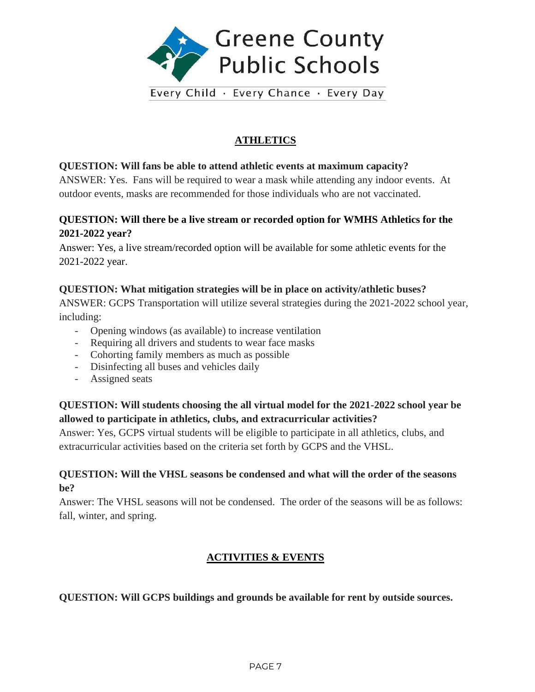

Every Child · Every Chance · Every Day

# **ATHLETICS**

### **QUESTION: Will fans be able to attend athletic events at maximum capacity?**

ANSWER: Yes. Fans will be required to wear a mask while attending any indoor events. At outdoor events, masks are recommended for those individuals who are not vaccinated.

## **QUESTION: Will there be a live stream or recorded option for WMHS Athletics for the 2021-2022 year?**

Answer: Yes, a live stream/recorded option will be available for some athletic events for the 2021-2022 year.

## **QUESTION: What mitigation strategies will be in place on activity/athletic buses?**

ANSWER: GCPS Transportation will utilize several strategies during the 2021-2022 school year, including:

- Opening windows (as available) to increase ventilation
- Requiring all drivers and students to wear face masks
- Cohorting family members as much as possible
- Disinfecting all buses and vehicles daily
- Assigned seats

## **QUESTION: Will students choosing the all virtual model for the 2021-2022 school year be allowed to participate in athletics, clubs, and extracurricular activities?**

Answer: Yes, GCPS virtual students will be eligible to participate in all athletics, clubs, and extracurricular activities based on the criteria set forth by GCPS and the VHSL.

## **QUESTION: Will the VHSL seasons be condensed and what will the order of the seasons be?**

Answer: The VHSL seasons will not be condensed. The order of the seasons will be as follows: fall, winter, and spring.

# **ACTIVITIES & EVENTS**

### **QUESTION: Will GCPS buildings and grounds be available for rent by outside sources.**